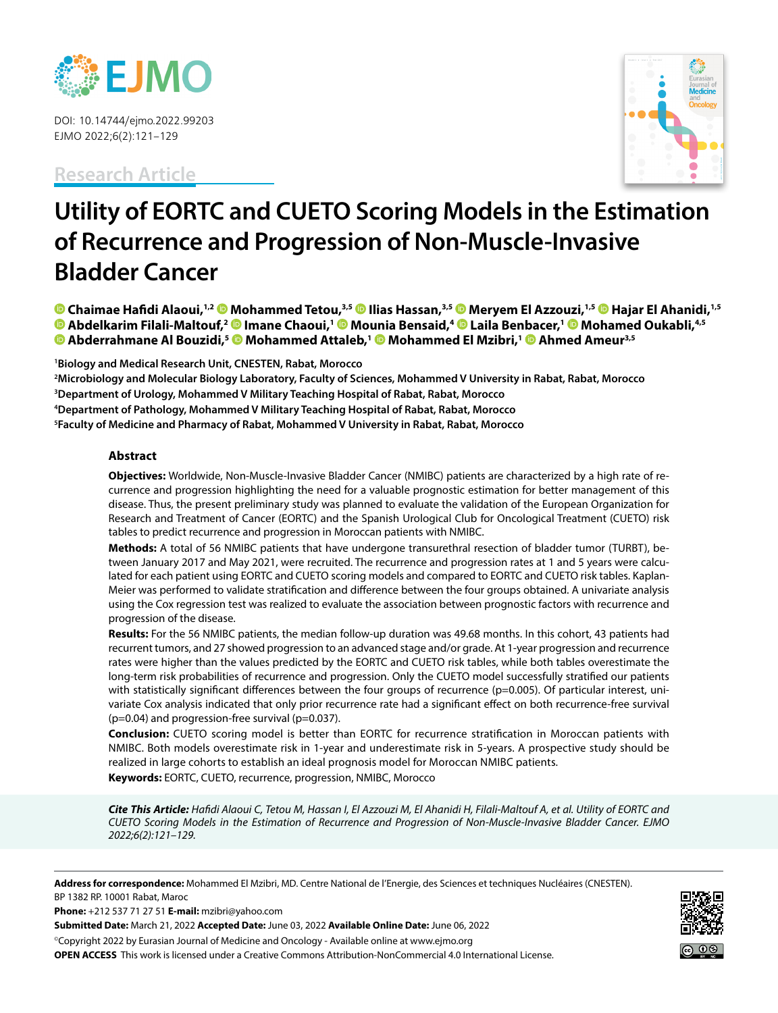

DOI: 10.14744/ejmo.2022.99203 EJMO 2022;6(2):121–129

**Research Article**



# **Utility of EORTC and CUETO Scoring Models in the Estimation of Recurrence and Progression of Non-Muscle-Invasive Bladder Cancer**

**Chaimae Hafidi Alaoui,1,2 Mohammed Tetou,3,5 Ilias Hassan,3,5Meryem El Azzouzi,1,5Hajar El Ahanidi,1,5 Abdelkarim Filali-Maltouf,2Imane Chaoui,1 [M](https://orcid.org/0000-0001-7322-0627)ounia Bensaid,4Laila Benbacer,1 Mohamed Oukabli,4,5 Abderrahmane Al Bouzidi,5Mohammed Attaleb,[1](https://orcid.org/0000-0002-3148-1527) Mohammed El Mzibri,1 Ahmed Ameur3,5**

**1 Biology and Medical Research Unit, CNESTEN, Rabat, Morocco**

 **Microbiology and Molecular Biology Laboratory, Faculty of Sciences, Mohammed V University in Rabat, Rabat, Morocco Department of Urology, Mohammed V Military Teaching Hospital of Rabat, Rabat, Morocco Department of Pathology, Mohammed V Military Teaching Hospital of Rabat, Rabat, Morocco Faculty of Medicine and Pharmacy of Rabat, Mohammed V University in Rabat, Rabat, Morocco**

### **Abstract**

**Objectives:** Worldwide, Non-Muscle-Invasive Bladder Cancer (NMIBC) patients are characterized by a high rate of recurrence and progression highlighting the need for a valuable prognostic estimation for better management of this disease. Thus, the present preliminary study was planned to evaluate the validation of the European Organization for Research and Treatment of Cancer (EORTC) and the Spanish Urological Club for Oncological Treatment (CUETO) risk tables to predict recurrence and progression in Moroccan patients with NMIBC.

**Methods:** A total of 56 NMIBC patients that have undergone transurethral resection of bladder tumor (TURBT), between January 2017 and May 2021, were recruited. The recurrence and progression rates at 1 and 5 years were calculated for each patient using EORTC and CUETO scoring models and compared to EORTC and CUETO risk tables. Kaplan-Meier was performed to validate stratification and difference between the four groups obtained. A univariate analysis using the Cox regression test was realized to evaluate the association between prognostic factors with recurrence and progression of the disease.

**Results:** For the 56 NMIBC patients, the median follow-up duration was 49.68 months. In this cohort, 43 patients had recurrent tumors, and 27 showed progression to an advanced stage and/or grade. At 1-year progression and recurrence rates were higher than the values predicted by the EORTC and CUETO risk tables, while both tables overestimate the long-term risk probabilities of recurrence and progression. Only the CUETO model successfully stratified our patients with statistically significant differences between the four groups of recurrence (p=0.005). Of particular interest, univariate Cox analysis indicated that only prior recurrence rate had a significant effect on both recurrence-free survival (p=0.04) and progression-free survival (p=0.037).

**Conclusion:** CUETO scoring model is better than EORTC for recurrence stratification in Moroccan patients with NMIBC. Both models overestimate risk in 1-year and underestimate risk in 5-years. A prospective study should be realized in large cohorts to establish an ideal prognosis model for Moroccan NMIBC patients. **Keywords:** EORTC, CUETO, recurrence, progression, NMIBC, Morocco

*Cite This Article: Hafidi Alaoui C, Tetou M, Hassan I, El Azzouzi M, El Ahanidi H, Filali-Maltouf A, et al. Utility of EORTC and CUETO Scoring Models in the Estimation of Recurrence and Progression of Non-Muscle-Invasive Bladder Cancer. EJMO 2022;6(2):121–129.*

**Address for correspondence:** Mohammed El Mzibri, MD. Centre National de l'Energie, des Sciences et techniques Nucléaires (CNESTEN). BP 1382 RP. 10001 Rabat, Maroc

**Phone:** +212 537 71 27 51 **E-mail:** mzibri@yahoo.com

**Submitted Date:** March 21, 2022 **Accepted Date:** June 03, 2022 **Available Online Date:** June 06, 2022

©Copyright 2022 by Eurasian Journal of Medicine and Oncology - Available online at www.ejmo.org **OPEN ACCESS** This work is licensed under a Creative Commons Attribution-NonCommercial 4.0 International License.

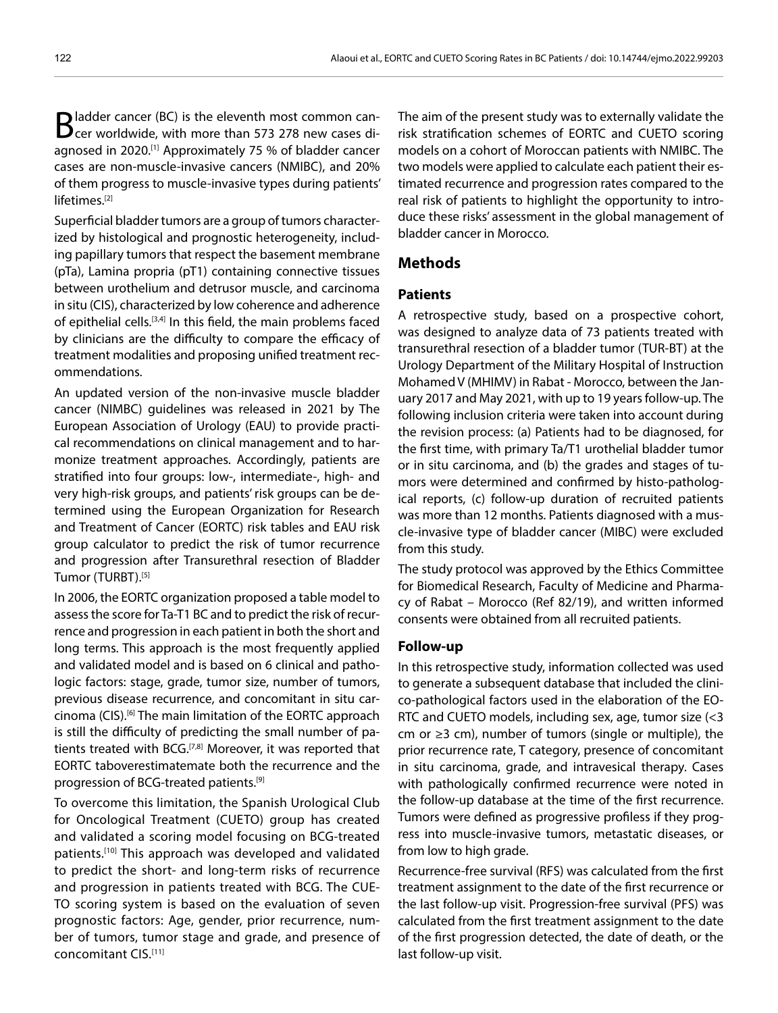Bladder cancer (BC) is the eleventh most common can-<br>Beer worldwide, with more than 573 278 new cases diagnosed in 2020.<sup>[1]</sup> Approximately 75 % of bladder cancer cases are non-muscle-invasive cancers (NMIBC), and 20% of them progress to muscle-invasive types during patients' lifetimes.<sup>[2]</sup>

Superficial bladder tumors are a group of tumors characterized by histological and prognostic heterogeneity, including papillary tumors that respect the basement membrane (pTa), Lamina propria (pT1) containing connective tissues between urothelium and detrusor muscle, and carcinoma in situ (CIS), characterized by low coherence and adherence of epithelial cells.<sup>[3,4]</sup> In this field, the main problems faced by clinicians are the difficulty to compare the efficacy of treatment modalities and proposing unified treatment recommendations.

An updated version of the non-invasive muscle bladder cancer (NIMBC) guidelines was released in 2021 by The European Association of Urology (EAU) to provide practical recommendations on clinical management and to harmonize treatment approaches. Accordingly, patients are stratified into four groups: low-, intermediate-, high- and very high-risk groups, and patients' risk groups can be determined using the European Organization for Research and Treatment of Cancer (EORTC) risk tables and EAU risk group calculator to predict the risk of tumor recurrence and progression after Transurethral resection of Bladder Tumor (TURBT).[5]

In 2006, the EORTC organization proposed a table model to assess the score for Ta-T1 BC and to predict the risk of recurrence and progression in each patient in both the short and long terms. This approach is the most frequently applied and validated model and is based on 6 clinical and pathologic factors: stage, grade, tumor size, number of tumors, previous disease recurrence, and concomitant in situ carcinoma (CIS).[6] The main limitation of the EORTC approach is still the difficulty of predicting the small number of patients treated with BCG.<sup>[7,8]</sup> Moreover, it was reported that EORTC taboverestimatemate both the recurrence and the progression of BCG-treated patients.<sup>[9]</sup>

To overcome this limitation, the Spanish Urological Club for Oncological Treatment (CUETO) group has created and validated a scoring model focusing on BCG-treated patients.[10] This approach was developed and validated to predict the short- and long-term risks of recurrence and progression in patients treated with BCG. The CUE-TO scoring system is based on the evaluation of seven prognostic factors: Age, gender, prior recurrence, number of tumors, tumor stage and grade, and presence of concomitant CIS.[11]

The aim of the present study was to externally validate the risk stratification schemes of EORTC and CUETO scoring models on a cohort of Moroccan patients with NMIBC. The two models were applied to calculate each patient their estimated recurrence and progression rates compared to the real risk of patients to highlight the opportunity to introduce these risks' assessment in the global management of bladder cancer in Morocco.

# **Methods**

# **Patients**

A retrospective study, based on a prospective cohort, was designed to analyze data of 73 patients treated with transurethral resection of a bladder tumor (TUR-BT) at the Urology Department of the Military Hospital of Instruction Mohamed V (MHIMV) in Rabat - Morocco, between the January 2017 and May 2021, with up to 19 years follow-up. The following inclusion criteria were taken into account during the revision process: (a) Patients had to be diagnosed, for the first time, with primary Ta/T1 urothelial bladder tumor or in situ carcinoma, and (b) the grades and stages of tumors were determined and confirmed by histo-pathological reports, (c) follow-up duration of recruited patients was more than 12 months. Patients diagnosed with a muscle-invasive type of bladder cancer (MIBC) were excluded from this study.

The study protocol was approved by the Ethics Committee for Biomedical Research, Faculty of Medicine and Pharmacy of Rabat – Morocco (Ref 82/19), and written informed consents were obtained from all recruited patients.

#### **Follow-up**

In this retrospective study, information collected was used to generate a subsequent database that included the clinico-pathological factors used in the elaboration of the EO-RTC and CUETO models, including sex, age, tumor size (<3 cm or ≥3 cm), number of tumors (single or multiple), the prior recurrence rate, T category, presence of concomitant in situ carcinoma, grade, and intravesical therapy. Cases with pathologically confirmed recurrence were noted in the follow-up database at the time of the first recurrence. Tumors were defined as progressive profiless if they progress into muscle-invasive tumors, metastatic diseases, or from low to high grade.

Recurrence-free survival (RFS) was calculated from the first treatment assignment to the date of the first recurrence or the last follow-up visit. Progression-free survival (PFS) was calculated from the first treatment assignment to the date of the first progression detected, the date of death, or the last follow-up visit.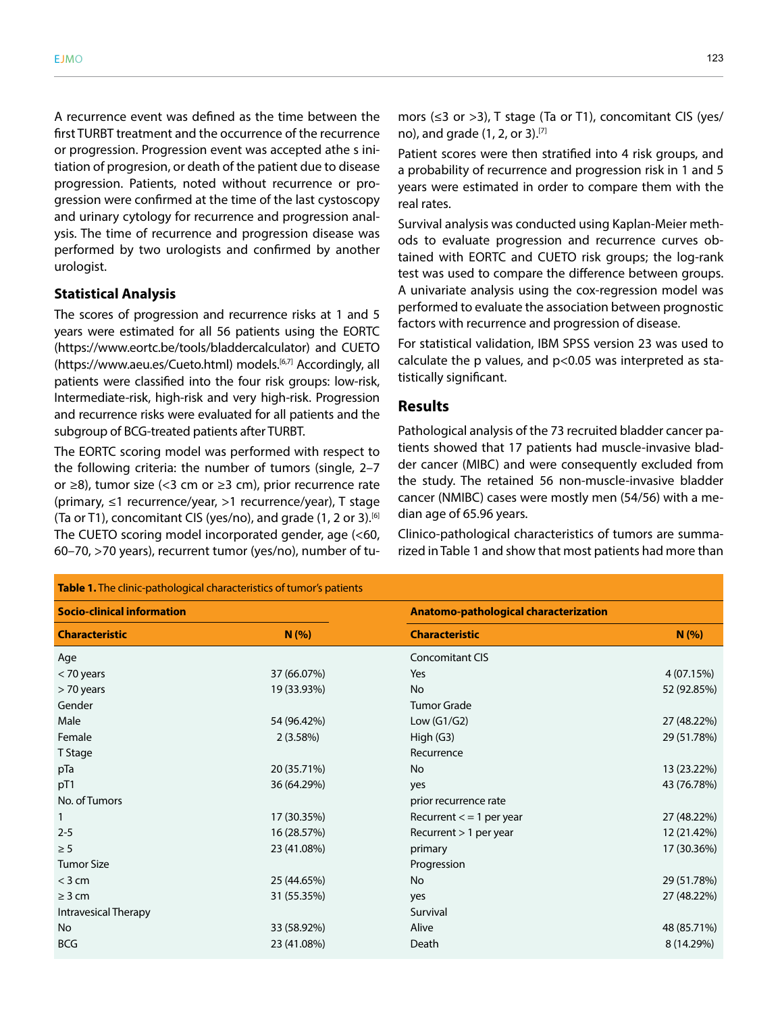A recurrence event was defined as the time between the first TURBT treatment and the occurrence of the recurrence or progression. Progression event was accepted athe s initiation of progresion, or death of the patient due to disease progression. Patients, noted without recurrence or progression were confirmed at the time of the last cystoscopy and urinary cytology for recurrence and progression analysis. The time of recurrence and progression disease was performed by two urologists and confirmed by another urologist.

## **Statistical Analysis**

The scores of progression and recurrence risks at 1 and 5 years were estimated for all 56 patients using the EORTC (https://www.eortc.be/tools/bladdercalculator) and CUETO (https://www.aeu.es/Cueto.html) models.<sup>[6,7]</sup> Accordingly, all patients were classified into the four risk groups: low-risk, Intermediate-risk, high-risk and very high-risk. Progression and recurrence risks were evaluated for all patients and the subgroup of BCG-treated patients after TURBT.

The EORTC scoring model was performed with respect to the following criteria: the number of tumors (single, 2–7 or ≥8), tumor size (<3 cm or ≥3 cm), prior recurrence rate (primary, ≤1 recurrence/year, >1 recurrence/year), T stage (Ta or T1), concomitant CIS (yes/no), and grade (1, 2 or 3).<sup>[6]</sup> The CUETO scoring model incorporated gender, age (<60, 60–70, >70 years), recurrent tumor (yes/no), number of tu-

mors (≤3 or >3), T stage (Ta or T1), concomitant CIS (yes/ no), and grade  $(1, 2, 0r 3)$ . [7]

Patient scores were then stratified into 4 risk groups, and a probability of recurrence and progression risk in 1 and 5 years were estimated in order to compare them with the real rates.

Survival analysis was conducted using Kaplan-Meier methods to evaluate progression and recurrence curves obtained with EORTC and CUETO risk groups; the log-rank test was used to compare the difference between groups. A univariate analysis using the cox-regression model was performed to evaluate the association between prognostic factors with recurrence and progression of disease.

For statistical validation, IBM SPSS version 23 was used to calculate the p values, and p<0.05 was interpreted as statistically significant.

# **Results**

Pathological analysis of the 73 recruited bladder cancer patients showed that 17 patients had muscle-invasive bladder cancer (MIBC) and were consequently excluded from the study. The retained 56 non-muscle-invasive bladder cancer (NMIBC) cases were mostly men (54/56) with a median age of 65.96 years.

Clinico-pathological characteristics of tumors are summarized in Table 1 and show that most patients had more than

| Table 1. The clinic-pathological characteristics of tumor's patients |                                       |             |
|----------------------------------------------------------------------|---------------------------------------|-------------|
|                                                                      | Anatomo-pathological characterization |             |
| N(%)                                                                 | <b>Characteristic</b>                 | N(% )       |
|                                                                      | <b>Concomitant CIS</b>                |             |
| 37 (66.07%)                                                          | Yes                                   | 4 (07.15%)  |
| 19 (33.93%)                                                          | No                                    | 52 (92.85%) |
|                                                                      | <b>Tumor Grade</b>                    |             |
| 54 (96.42%)                                                          | Low (G1/G2)                           | 27 (48.22%) |
| 2(3.58%)                                                             | High (G3)                             | 29 (51.78%) |
|                                                                      | Recurrence                            |             |
| 20 (35.71%)                                                          | <b>No</b>                             | 13 (23.22%) |
| 36 (64.29%)                                                          | yes                                   | 43 (76.78%) |
|                                                                      | prior recurrence rate                 |             |
| 17 (30.35%)                                                          | Recurrent $<$ = 1 per year            | 27 (48.22%) |
| 16 (28.57%)                                                          | Recurrent $> 1$ per year              | 12 (21.42%) |
| 23 (41.08%)                                                          | primary                               | 17 (30.36%) |
|                                                                      | Progression                           |             |
| 25 (44.65%)                                                          | <b>No</b>                             | 29 (51.78%) |
| 31 (55.35%)                                                          | yes                                   | 27 (48.22%) |
|                                                                      | Survival                              |             |
| 33 (58.92%)                                                          | Alive                                 | 48 (85.71%) |
| 23 (41.08%)                                                          | Death                                 | 8 (14.29%)  |
|                                                                      |                                       |             |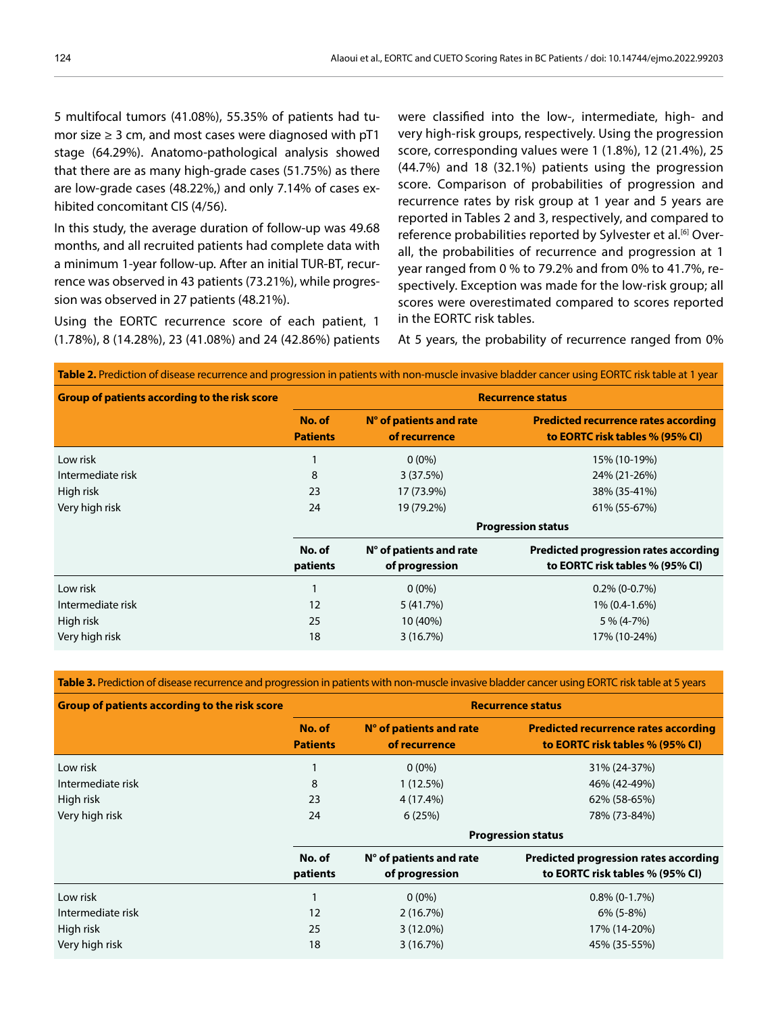5 multifocal tumors (41.08%), 55.35% of patients had tumor size  $\geq 3$  cm, and most cases were diagnosed with pT1 stage (64.29%). Anatomo-pathological analysis showed that there are as many high-grade cases (51.75%) as there are low-grade cases (48.22%,) and only 7.14% of cases exhibited concomitant CIS (4/56).

In this study, the average duration of follow-up was 49.68 months, and all recruited patients had complete data with a minimum 1-year follow-up. After an initial TUR-BT, recurrence was observed in 43 patients (73.21%), while progression was observed in 27 patients (48.21%).

Using the EORTC recurrence score of each patient, 1 (1.78%), 8 (14.28%), 23 (41.08%) and 24 (42.86%) patients were classified into the low-, intermediate, high- and very high-risk groups, respectively. Using the progression score, corresponding values were 1 (1.8%), 12 (21.4%), 25 (44.7%) and 18 (32.1%) patients using the progression score. Comparison of probabilities of progression and recurrence rates by risk group at 1 year and 5 years are reported in Tables 2 and 3, respectively, and compared to reference probabilities reported by Sylvester et al.<sup>[6]</sup> Overall, the probabilities of recurrence and progression at 1 year ranged from 0 % to 79.2% and from 0% to 41.7%, respectively. Exception was made for the low-risk group; all scores were overestimated compared to scores reported in the EORTC risk tables.

At 5 years, the probability of recurrence ranged from 0%

| Table 2. Prediction of disease recurrence and progression in patients with non-muscle invasive bladder cancer using EORTC risk table at 1 year |                           |                                                    |                                                                                 |  |
|------------------------------------------------------------------------------------------------------------------------------------------------|---------------------------|----------------------------------------------------|---------------------------------------------------------------------------------|--|
| <b>Group of patients according to the risk score</b>                                                                                           | <b>Recurrence status</b>  |                                                    |                                                                                 |  |
|                                                                                                                                                | No. of<br><b>Patients</b> | N° of patients and rate<br>of recurrence           | <b>Predicted recurrence rates according</b><br>to EORTC risk tables % (95% CI)  |  |
| Low risk                                                                                                                                       |                           | $0(0\%)$                                           | 15% (10-19%)                                                                    |  |
| Intermediate risk                                                                                                                              | 8                         | 3(37.5%)                                           | 24% (21-26%)                                                                    |  |
| High risk                                                                                                                                      | 23                        | 17 (73.9%)                                         | 38% (35-41%)                                                                    |  |
| Very high risk                                                                                                                                 | 24                        | 19 (79.2%)                                         | 61% (55-67%)                                                                    |  |
|                                                                                                                                                | <b>Progression status</b> |                                                    |                                                                                 |  |
|                                                                                                                                                | No. of<br>patients        | $N^{\circ}$ of patients and rate<br>of progression | <b>Predicted progression rates according</b><br>to EORTC risk tables % (95% CI) |  |
| Low risk                                                                                                                                       |                           | $0(0\%)$                                           | $0.2\%$ (0-0.7%)                                                                |  |
| Intermediate risk                                                                                                                              | 12                        | 5 (41.7%)                                          | 1% (0.4-1.6%)                                                                   |  |
| High risk                                                                                                                                      | 25                        | 10 (40%)                                           | $5\% (4-7\%)$                                                                   |  |
| Very high risk                                                                                                                                 | 18                        | 3(16.7%)                                           | 17% (10-24%)                                                                    |  |

**Table 3.** Prediction of disease recurrence and progression in patients with non-muscle invasive bladder cancer using EORTC risk table at 5 years

| <b>Group of patients according to the risk score</b> | <b>Recurrence status</b>  |                                          |                                                                                |  |
|------------------------------------------------------|---------------------------|------------------------------------------|--------------------------------------------------------------------------------|--|
|                                                      | No. of<br><b>Patients</b> | N° of patients and rate<br>of recurrence | <b>Predicted recurrence rates according</b><br>to EORTC risk tables % (95% CI) |  |
| Low risk                                             |                           | $0(0\%)$                                 | 31% (24-37%)                                                                   |  |
| Intermediate risk                                    | 8                         | 1(12.5%)                                 | 46% (42-49%)                                                                   |  |
| High risk                                            | 23                        | 4 (17.4%)                                | 62% (58-65%)                                                                   |  |
| Very high risk                                       | 24                        | 6(25%)                                   | 78% (73-84%)                                                                   |  |
|                                                      | <b>Progression status</b> |                                          |                                                                                |  |
|                                                      | No. of                    | $N^{\circ}$ of patients and rate         | <b>Predicted progression rates according</b>                                   |  |
|                                                      | patients                  | of progression                           | to EORTC risk tables % (95% CI)                                                |  |
| Low risk                                             |                           | $0(0\%)$                                 | $0.8\%$ (0-1.7%)                                                               |  |
| Intermediate risk                                    | 12                        | 2(16.7%)                                 | $6\%$ (5-8%)                                                                   |  |
| High risk                                            | 25                        | $3(12.0\%)$                              | 17% (14-20%)                                                                   |  |
| Very high risk                                       | 18                        | 3(16.7%)                                 | 45% (35-55%)                                                                   |  |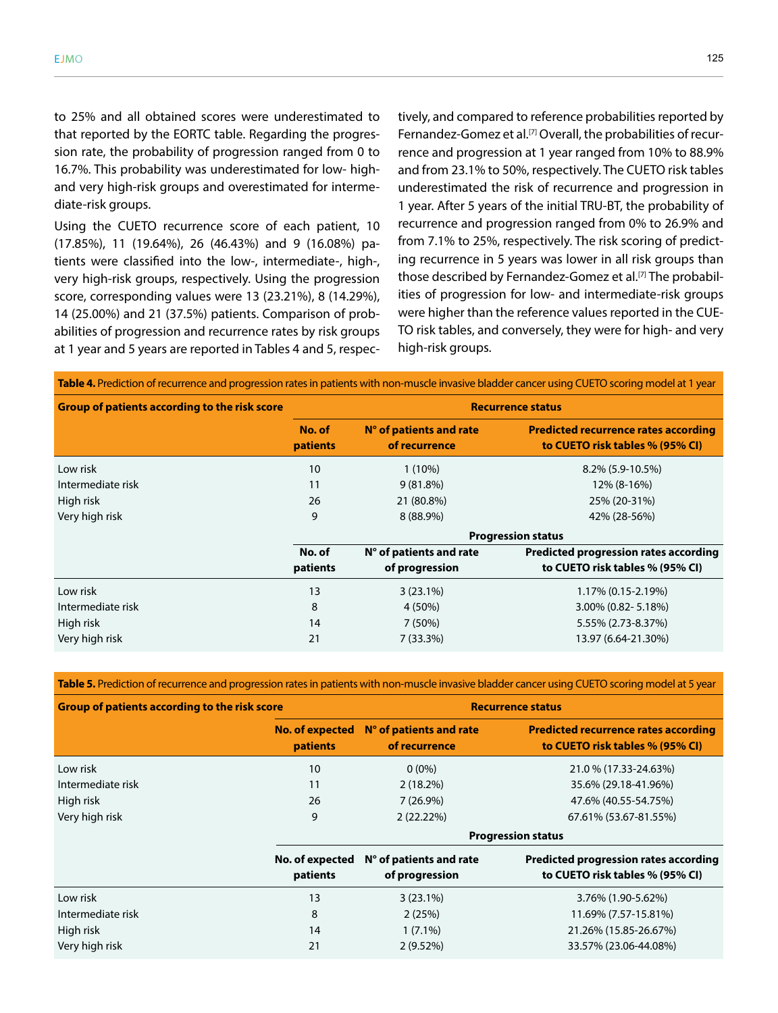to 25% and all obtained scores were underestimated to that reported by the EORTC table. Regarding the progression rate, the probability of progression ranged from 0 to 16.7%. This probability was underestimated for low- highand very high-risk groups and overestimated for intermediate-risk groups.

Using the CUETO recurrence score of each patient, 10 (17.85%), 11 (19.64%), 26 (46.43%) and 9 (16.08%) patients were classified into the low-, intermediate-, high-, very high-risk groups, respectively. Using the progression score, corresponding values were 13 (23.21%), 8 (14.29%), 14 (25.00%) and 21 (37.5%) patients. Comparison of probabilities of progression and recurrence rates by risk groups at 1 year and 5 years are reported in Tables 4 and 5, respectively, and compared to reference probabilities reported by Fernandez-Gomez et al.<sup>[7]</sup> Overall, the probabilities of recurrence and progression at 1 year ranged from 10% to 88.9% and from 23.1% to 50%, respectively. The CUETO risk tables underestimated the risk of recurrence and progression in 1 year. After 5 years of the initial TRU-BT, the probability of recurrence and progression ranged from 0% to 26.9% and from 7.1% to 25%, respectively. The risk scoring of predicting recurrence in 5 years was lower in all risk groups than those described by Fernandez-Gomez et al.<sup>[7]</sup> The probabilities of progression for low- and intermediate-risk groups were higher than the reference values reported in the CUE-TO risk tables, and conversely, they were for high- and very high-risk groups.

| Table 4. Prediction of recurrence and progression rates in patients with non-muscle invasive bladder cancer using CUETO scoring model at 1 year |                           |                                          |                                                                                |  |
|-------------------------------------------------------------------------------------------------------------------------------------------------|---------------------------|------------------------------------------|--------------------------------------------------------------------------------|--|
| <b>Group of patients according to the risk score</b>                                                                                            | <b>Recurrence status</b>  |                                          |                                                                                |  |
|                                                                                                                                                 | No. of<br>patients        | N° of patients and rate<br>of recurrence | <b>Predicted recurrence rates according</b><br>to CUETO risk tables % (95% CI) |  |
| Low risk                                                                                                                                        | 10                        | $1(10\%)$                                | $8.2\%$ (5.9-10.5%)                                                            |  |
| Intermediate risk                                                                                                                               | 11                        | $9(81.8\%)$                              | 12% (8-16%)                                                                    |  |
| High risk                                                                                                                                       | 26                        | 21 (80.8%)                               | 25% (20-31%)                                                                   |  |
| Very high risk                                                                                                                                  | 9                         | 8 (88.9%)                                | 42% (28-56%)                                                                   |  |
|                                                                                                                                                 | <b>Progression status</b> |                                          |                                                                                |  |
|                                                                                                                                                 | No. of                    | N° of patients and rate                  | <b>Predicted progression rates according</b>                                   |  |
|                                                                                                                                                 | patients                  | of progression                           | to CUETO risk tables % (95% CI)                                                |  |
| Low risk                                                                                                                                        | 13                        | $3(23.1\%)$                              | $1.17\%$ (0.15-2.19%)                                                          |  |
| Intermediate risk                                                                                                                               | 8                         | 4 (50%)                                  | 3.00% (0.82-5.18%)                                                             |  |
| High risk                                                                                                                                       | 14                        | 7(50%)                                   | 5.55% (2.73-8.37%)                                                             |  |
| Very high risk                                                                                                                                  | 21                        | $7(33.3\%)$                              | 13.97 (6.64-21.30%)                                                            |  |

Table 5. Prediction of recurrence and progression rates in patients with non-muscle invasive bladder cancer using CUETO scoring model at 5 year

| <b>Group of patients according to the risk score</b> |                                    | <b>Recurrence status</b>                           |                                                                                 |  |  |
|------------------------------------------------------|------------------------------------|----------------------------------------------------|---------------------------------------------------------------------------------|--|--|
|                                                      | No. of expected<br><b>patients</b> | N° of patients and rate<br>of recurrence           | <b>Predicted recurrence rates according</b><br>to CUETO risk tables % (95% CI)  |  |  |
| Low risk                                             | 10                                 | $0(0\%)$                                           | 21.0 % (17.33-24.63%)                                                           |  |  |
| Intermediate risk                                    | 11                                 | $2(18.2\%)$                                        | 35.6% (29.18-41.96%)                                                            |  |  |
| High risk                                            | 26                                 | $7(26.9\%)$                                        | 47.6% (40.55-54.75%)                                                            |  |  |
| Very high risk                                       | 9                                  | $2(22.22\%)$                                       | 67.61% (53.67-81.55%)                                                           |  |  |
|                                                      |                                    | <b>Progression status</b>                          |                                                                                 |  |  |
|                                                      | No. of expected<br>patients        | $N^{\circ}$ of patients and rate<br>of progression | <b>Predicted progression rates according</b><br>to CUETO risk tables % (95% CI) |  |  |
| Low risk                                             | 13                                 | $3(23.1\%)$                                        | 3.76% (1.90-5.62%)                                                              |  |  |
| Intermediate risk                                    | 8                                  | 2(25%)                                             | 11.69% (7.57-15.81%)                                                            |  |  |
| High risk                                            | 14                                 | $1(7.1\%)$                                         | 21.26% (15.85-26.67%)                                                           |  |  |
| Very high risk                                       | 21                                 | 2(9.52%)                                           | 33.57% (23.06-44.08%)                                                           |  |  |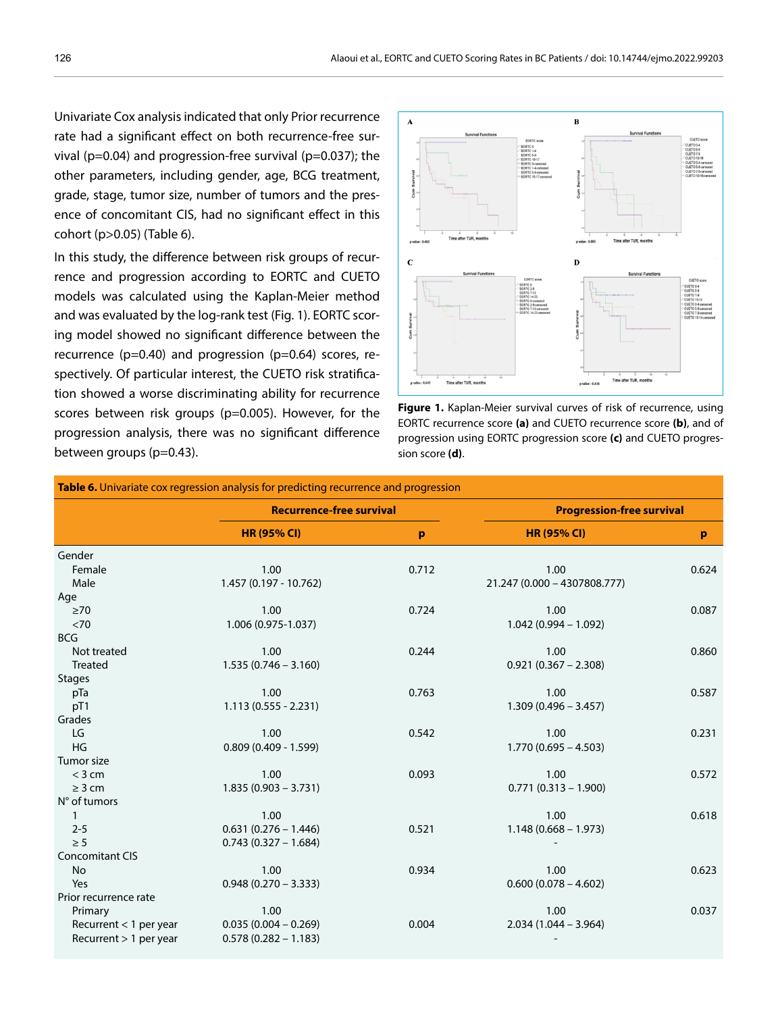Univariate Cox analysis indicated that only Prior recurrence rate had a significant effect on both recurrence-free survival ( $p=0.04$ ) and progression-free survival ( $p=0.037$ ); the other parameters, including gender, age, BCG treatment, grade, stage, tumor size, number of tumors and the presence of concomitant CIS, had no significant effect in this cohort (p>0.05) (Table 6).

In this study, the difference between risk groups of recurrence and progression according to EORTC and CUETO models was calculated using the Kaplan-Meier method and was evaluated by the log-rank test (Fig. 1). EORTC scoring model showed no significant difference between the recurrence (p=0.40) and progression (p=0.64) scores, respectively. Of particular interest, the CUETO risk stratification showed a worse discriminating ability for recurrence scores between risk groups (p=0.005). However, for the progression analysis, there was no significant difference between groups (p=0.43).





| Table 6. Univariate cox regression analysis for predicting recurrence and progression |                                 |       |                                  |       |  |
|---------------------------------------------------------------------------------------|---------------------------------|-------|----------------------------------|-------|--|
|                                                                                       | <b>Recurrence-free survival</b> |       | <b>Progression-free survival</b> |       |  |
|                                                                                       | <b>HR (95% CI)</b>              | p     | <b>HR (95% CI)</b>               | p     |  |
| Gender                                                                                |                                 |       |                                  |       |  |
| Female                                                                                | 1.00                            | 0.712 | 1.00                             | 0.624 |  |
| Male                                                                                  | 1.457 (0.197 - 10.762)          |       | 21.247 (0.000 - 4307808.777)     |       |  |
| Age                                                                                   |                                 |       |                                  |       |  |
| $\geq 70$                                                                             | 1.00                            | 0.724 | 1.00                             | 0.087 |  |
| $<70$                                                                                 | 1.006 (0.975-1.037)             |       | $1.042(0.994 - 1.092)$           |       |  |
| <b>BCG</b>                                                                            |                                 |       |                                  |       |  |
| Not treated                                                                           | 1.00                            | 0.244 | 1.00                             | 0.860 |  |
| Treated                                                                               | $1.535(0.746 - 3.160)$          |       | $0.921(0.367 - 2.308)$           |       |  |
| <b>Stages</b>                                                                         |                                 |       |                                  |       |  |
| pTa                                                                                   | 1.00                            | 0.763 | 1.00                             | 0.587 |  |
| pT1                                                                                   | $1.113(0.555 - 2.231)$          |       | $1.309(0.496 - 3.457)$           |       |  |
| Grades                                                                                |                                 |       |                                  |       |  |
| LG                                                                                    | 1.00                            | 0.542 | 1.00                             | 0.231 |  |
| HG                                                                                    | $0.809(0.409 - 1.599)$          |       | $1.770(0.695 - 4.503)$           |       |  |
| Tumor size                                                                            |                                 |       |                                  |       |  |
| $<$ 3 cm                                                                              | 1.00                            | 0.093 | 1.00                             | 0.572 |  |
| $\geq$ 3 cm                                                                           | $1.835(0.903 - 3.731)$          |       | $0.771(0.313 - 1.900)$           |       |  |
| N° of tumors                                                                          |                                 |       |                                  |       |  |
| $\mathbf{1}$                                                                          | 1.00                            |       | 1.00                             | 0.618 |  |
| $2 - 5$                                                                               | $0.631(0.276 - 1.446)$          | 0.521 | $1.148(0.668 - 1.973)$           |       |  |
| $\geq 5$                                                                              | $0.743(0.327 - 1.684)$          |       |                                  |       |  |
| <b>Concomitant CIS</b>                                                                |                                 |       |                                  |       |  |
| No                                                                                    | 1.00                            | 0.934 | 1.00                             | 0.623 |  |
| Yes                                                                                   | $0.948(0.270 - 3.333)$          |       | $0.600(0.078 - 4.602)$           |       |  |
| Prior recurrence rate                                                                 |                                 |       |                                  |       |  |
| Primary                                                                               | 1.00                            |       | 1.00                             | 0.037 |  |
| Recurrent $<$ 1 per year                                                              | $0.035(0.004 - 0.269)$          | 0.004 | $2.034(1.044 - 3.964)$           |       |  |
| Recurrent > 1 per year                                                                | $0.578(0.282 - 1.183)$          |       |                                  |       |  |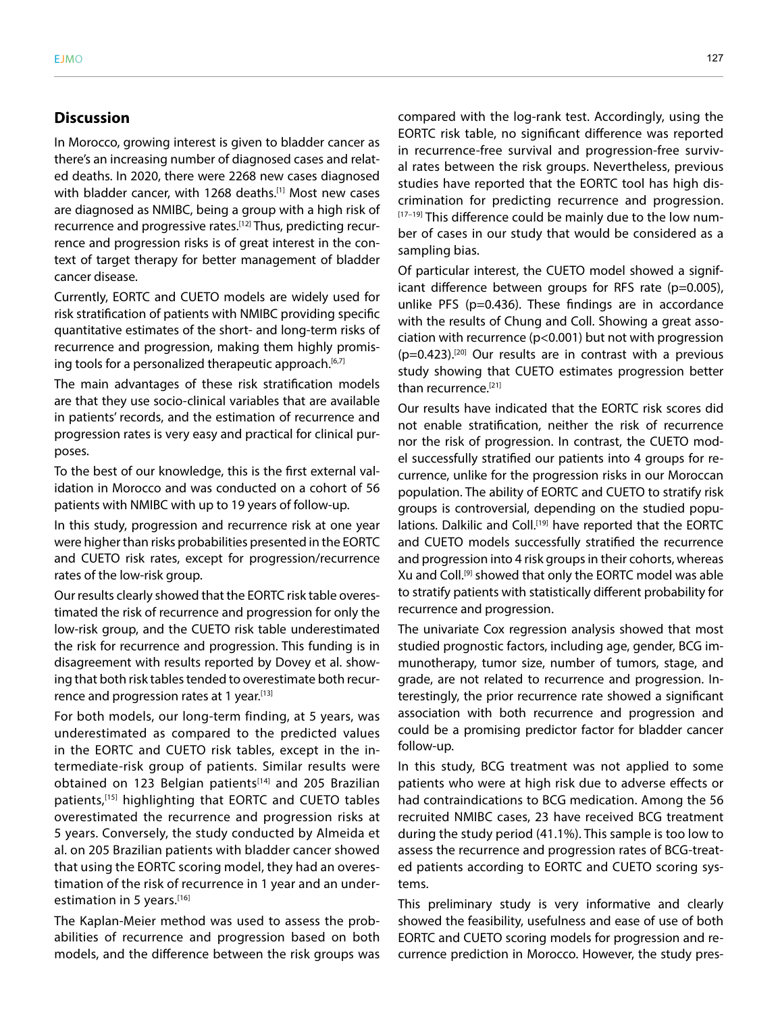# **Discussion**

In Morocco, growing interest is given to bladder cancer as there's an increasing number of diagnosed cases and related deaths. In 2020, there were 2268 new cases diagnosed with bladder cancer, with 1268 deaths.<sup>[1]</sup> Most new cases are diagnosed as NMIBC, being a group with a high risk of recurrence and progressive rates.<sup>[12]</sup> Thus, predicting recurrence and progression risks is of great interest in the context of target therapy for better management of bladder cancer disease.

Currently, EORTC and CUETO models are widely used for risk stratification of patients with NMIBC providing specific quantitative estimates of the short- and long-term risks of recurrence and progression, making them highly promising tools for a personalized therapeutic approach.<sup>[6,7]</sup>

The main advantages of these risk stratification models are that they use socio-clinical variables that are available in patients' records, and the estimation of recurrence and progression rates is very easy and practical for clinical purposes.

To the best of our knowledge, this is the first external validation in Morocco and was conducted on a cohort of 56 patients with NMIBC with up to 19 years of follow-up.

In this study, progression and recurrence risk at one year were higher than risks probabilities presented in the EORTC and CUETO risk rates, except for progression/recurrence rates of the low-risk group.

Our results clearly showed that the EORTC risk table overestimated the risk of recurrence and progression for only the low-risk group, and the CUETO risk table underestimated the risk for recurrence and progression. This funding is in disagreement with results reported by Dovey et al. showing that both risk tables tended to overestimate both recurrence and progression rates at 1 year.<sup>[13]</sup>

For both models, our long-term finding, at 5 years, was underestimated as compared to the predicted values in the EORTC and CUETO risk tables, except in the intermediate-risk group of patients. Similar results were obtained on 123 Belgian patients<sup>[14]</sup> and 205 Brazilian patients,[15] highlighting that EORTC and CUETO tables overestimated the recurrence and progression risks at 5 years. Conversely, the study conducted by Almeida et al. on 205 Brazilian patients with bladder cancer showed that using the EORTC scoring model, they had an overestimation of the risk of recurrence in 1 year and an underestimation in 5 years.<sup>[16]</sup>

The Kaplan-Meier method was used to assess the probabilities of recurrence and progression based on both models, and the difference between the risk groups was compared with the log-rank test. Accordingly, using the EORTC risk table, no significant difference was reported in recurrence-free survival and progression-free survival rates between the risk groups. Nevertheless, previous studies have reported that the EORTC tool has high discrimination for predicting recurrence and progression. [17-19] This difference could be mainly due to the low number of cases in our study that would be considered as a sampling bias.

Of particular interest, the CUETO model showed a significant difference between groups for RFS rate (p=0.005), unlike PFS (p=0.436). These findings are in accordance with the results of Chung and Coll. Showing a great association with recurrence (p<0.001) but not with progression  $(p=0.423)$ .<sup>[20]</sup> Our results are in contrast with a previous study showing that CUETO estimates progression better than recurrence.<sup>[21]</sup>

Our results have indicated that the EORTC risk scores did not enable stratification, neither the risk of recurrence nor the risk of progression. In contrast, the CUETO model successfully stratified our patients into 4 groups for recurrence, unlike for the progression risks in our Moroccan population. The ability of EORTC and CUETO to stratify risk groups is controversial, depending on the studied populations. Dalkilic and Coll.<sup>[19]</sup> have reported that the EORTC and CUETO models successfully stratified the recurrence and progression into 4 risk groups in their cohorts, whereas Xu and Coll.[9] showed that only the EORTC model was able to stratify patients with statistically different probability for recurrence and progression.

The univariate Cox regression analysis showed that most studied prognostic factors, including age, gender, BCG immunotherapy, tumor size, number of tumors, stage, and grade, are not related to recurrence and progression. Interestingly, the prior recurrence rate showed a significant association with both recurrence and progression and could be a promising predictor factor for bladder cancer follow-up.

In this study, BCG treatment was not applied to some patients who were at high risk due to adverse effects or had contraindications to BCG medication. Among the 56 recruited NMIBC cases, 23 have received BCG treatment during the study period (41.1%). This sample is too low to assess the recurrence and progression rates of BCG-treated patients according to EORTC and CUETO scoring systems.

This preliminary study is very informative and clearly showed the feasibility, usefulness and ease of use of both EORTC and CUETO scoring models for progression and recurrence prediction in Morocco. However, the study pres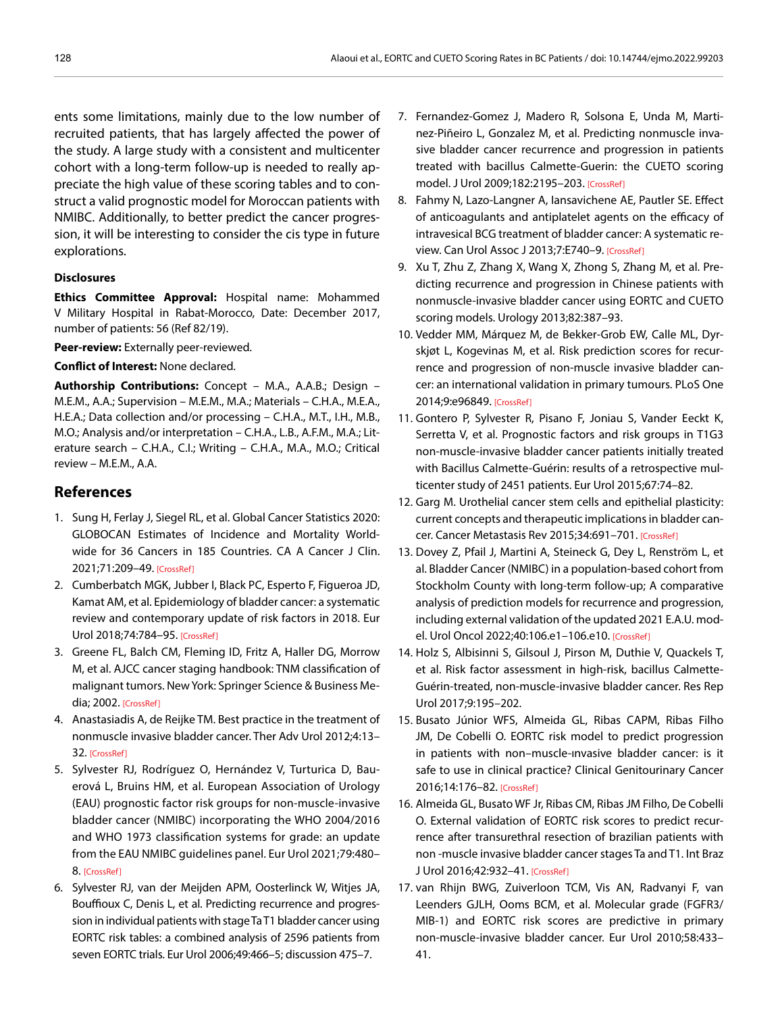ents some limitations, mainly due to the low number of recruited patients, that has largely affected the power of the study. A large study with a consistent and multicenter cohort with a long-term follow-up is needed to really appreciate the high value of these scoring tables and to construct a valid prognostic model for Moroccan patients with NMIBC. Additionally, to better predict the cancer progression, it will be interesting to consider the cis type in future explorations.

#### **Disclosures**

**Ethics Committee Approval:** Hospital name: Mohammed V Military Hospital in Rabat-Morocco, Date: December 2017, number of patients: 56 (Ref 82/19).

**Peer-review:** Externally peer-reviewed.

#### **Conflict of Interest:** None declared.

**Authorship Contributions:** Concept – M.A., A.A.B.; Design – M.E.M., A.A.; Supervision – M.E.M., M.A.; Materials – C.H.A., M.E.A., H.E.A.; Data collection and/or processing – C.H.A., M.T., I.H., M.B., M.O.; Analysis and/or interpretation – C.H.A., L.B., A.F.M., M.A.; Literature search – C.H.A., C.I.; Writing – C.H.A., M.A., M.O.; Critical review – M.E.M., A.A.

## **References**

- 1. Sung H, Ferlay J, Siegel RL, et al. Global Cancer Statistics 2020: GLOBOCAN Estimates of Incidence and Mortality Worldwide for 36 Cancers in 185 Countries. CA A Cancer J Clin. 2021;71:209–4[9. \[CrossRef\]](https://doi.org/10.3322/caac.21660)
- 2. Cumberbatch MGK, Jubber I, Black PC, Esperto F, Figueroa JD, Kamat AM, et al. Epidemiology of bladder cancer: a systematic review and contemporary update of risk factors in 2018. Eur Urol 2018;74:784–9[5. \[CrossRef\]](https://doi.org/10.1016/j.eururo.2018.09.001)
- 3. Greene FL, Balch CM, Fleming ID, Fritz A, Haller DG, Morrow M, et al. AJCC cancer staging handbook: TNM classification of malignant tumors. New York: Springer Science & Business Media; 200[2. \[CrossRef\]](https://doi.org/10.1007/978-1-4757-3656-4)
- 4. Anastasiadis A, de Reijke TM. Best practice in the treatment of nonmuscle invasive bladder cancer. Ther Adv Urol 2012;4:13– 3[2. \[CrossRef\]](https://doi.org/10.1177/1756287211431976)
- 5. Sylvester RJ, Rodríguez O, Hernández V, Turturica D, Bauerová L, Bruins HM, et al. European Association of Urology (EAU) prognostic factor risk groups for non-muscle-invasive bladder cancer (NMIBC) incorporating the WHO 2004/2016 and WHO 1973 classification systems for grade: an update from the EAU NMIBC guidelines panel. Eur Urol 2021;79:480– [8. \[CrossRef\]](https://doi.org/10.1016/j.eururo.2020.12.033)
- 6. Sylvester RJ, van der Meijden APM, Oosterlinck W, Witjes JA, Bouffioux C, Denis L, et al. Predicting recurrence and progression in individual patients with stage Ta T1 bladder cancer using EORTC risk tables: a combined analysis of 2596 patients from seven EORTC trials. Eur Urol 2006;49:466–5; discussion 475–7.
- 7. Fernandez-Gomez J, Madero R, Solsona E, Unda M, Martinez-Piñeiro L, Gonzalez M, et al. Predicting nonmuscle invasive bladder cancer recurrence and progression in patients treated with bacillus Calmette-Guerin: the CUETO scoring model. J Urol 2009;182:2195–203[. \[CrossRef\]](https://doi.org/10.1016/j.juro.2009.07.016)
- 8. Fahmy N, Lazo-Langner A, Iansavichene AE, Pautler SE. Effect of anticoagulants and antiplatelet agents on the efficacy of intravesical BCG treatment of bladder cancer: A systematic re-view. Can Urol Assoc J 2013;7:E740-9[. \[CrossRef\]](https://doi.org/10.5489/cuaj.1213)
- 9. Xu T, Zhu Z, Zhang X, Wang X, Zhong S, Zhang M, et al. Predicting recurrence and progression in Chinese patients with nonmuscle-invasive bladder cancer using EORTC and CUETO scoring models. Urology 2013;82:387–93.
- 10. Vedder MM, Márquez M, de Bekker-Grob EW, Calle ML, Dyrskjøt L, Kogevinas M, et al. Risk prediction scores for recurrence and progression of non-muscle invasive bladder cancer: an international validation in primary tumours. PLoS One 2014;9:e9684[9. \[CrossRef\]](https://doi.org/10.1371/journal.pone.0096849)
- 11. Gontero P, Sylvester R, Pisano F, Joniau S, Vander Eeckt K, Serretta V, et al. Prognostic factors and risk groups in T1G3 non-muscle-invasive bladder cancer patients initially treated with Bacillus Calmette-Guérin: results of a retrospective multicenter study of 2451 patients. Eur Urol 2015;67:74–82.
- 12. Garg M. Urothelial cancer stem cells and epithelial plasticity: current concepts and therapeutic implications in bladder cancer. Cancer Metastasis Rev 2015;34:691–70[1. \[CrossRef\]](https://doi.org/10.1007/s10555-015-9589-6)
- 13. Dovey Z, Pfail J, Martini A, Steineck G, Dey L, Renström L, et al. Bladder Cancer (NMIBC) in a population-based cohort from Stockholm County with long-term follow-up; A comparative analysis of prediction models for recurrence and progression, including external validation of the updated 2021 E.A.U. model. Urol Oncol 2022;40:106.e1–106.e1[0. \[CrossRef\]](https://doi.org/10.1016/j.urolonc.2021.10.008)
- 14. Holz S, Albisinni S, Gilsoul J, Pirson M, Duthie V, Quackels T, et al. Risk factor assessment in high-risk, bacillus Calmette-Guérin-treated, non-muscle-invasive bladder cancer. Res Rep Urol 2017;9:195–202.
- 15. Busato Júnior WFS, Almeida GL, Ribas CAPM, Ribas Filho JM, De Cobelli O. EORTC risk model to predict progression in patients with non–muscle-ınvasive bladder cancer: is it safe to use in clinical practice? Clinical Genitourinary Cancer 2016;14:176–8[2. \[CrossRef\]](https://doi.org/10.1016/j.clgc.2015.09.005)
- 16. Almeida GL, Busato WF Jr, Ribas CM, Ribas JM Filho, De Cobelli O. External validation of EORTC risk scores to predict recurrence after transurethral resection of brazilian patients with non -muscle invasive bladder cancer stages Ta and T1. Int Braz J Urol 2016;42:932–4[1. \[CrossRef\]](https://doi.org/10.1590/S1677-5538.IBJU.2015.0169)
- 17. van Rhijn BWG, Zuiverloon TCM, Vis AN, Radvanyi F, van Leenders GJLH, Ooms BCM, et al. Molecular grade (FGFR3/ MIB-1) and EORTC risk scores are predictive in primary non-muscle-invasive bladder cancer. Eur Urol 2010;58:433– 41.